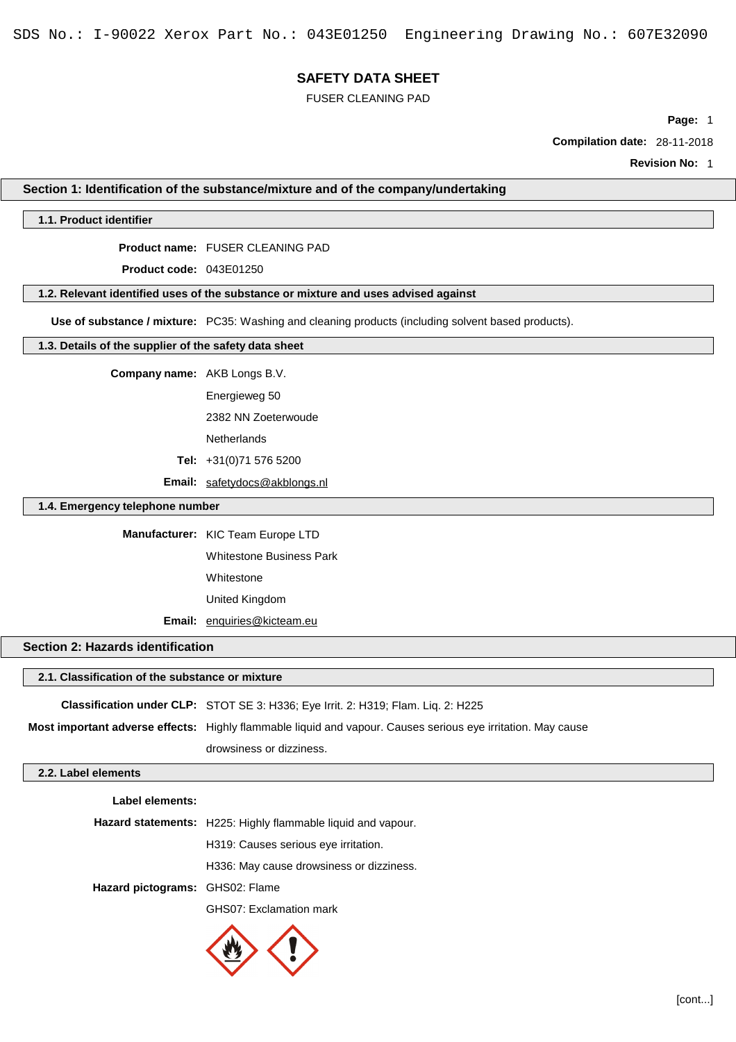FUSER CLEANING PAD

**Page:** 1

**Compilation date:** 28-11-2018

**Revision No:** 1

# **Section 1: Identification of the substance/mixture and of the company/undertaking**

## **1.1. Product identifier**

**Product name:** FUSER CLEANING PAD

**Product code:** 043E01250

## **1.2. Relevant identified uses of the substance or mixture and uses advised against**

**Use of substance / mixture:** PC35: Washing and cleaning products (including solvent based products).

## **1.3. Details of the supplier of the safety data sheet**

**Company name:** AKB Longs B.V.

Energieweg 50

2382 NN Zoeterwoude

**Netherlands** 

**Tel:** +31(0)71 576 5200

**Email:** [safetydocs@akblongs.nl](mailto:safetydocs@akblongs.nl)

### **1.4. Emergency telephone number**

**Manufacturer:** KIC Team Europe LTD

Whitestone Business Park

Whitestone

United Kingdom

**Email:** [enquiries@kicteam.eu](mailto:enquiries@kicteam.eu)

# **Section 2: Hazards identification**

### **2.1. Classification of the substance or mixture**

**Classification under CLP:** STOT SE 3: H336; Eye Irrit. 2: H319; Flam. Liq. 2: H225 **Most important adverse effects:** Highly flammable liquid and vapour. Causes serious eye irritation. May cause drowsiness or dizziness.

## **2.2. Label elements**

**Label elements: Hazard statements:** H225: Highly flammable liquid and vapour. H319: Causes serious eye irritation. H336: May cause drowsiness or dizziness. **Hazard pictograms:** GHS02: Flame GHS07: Exclamation mark

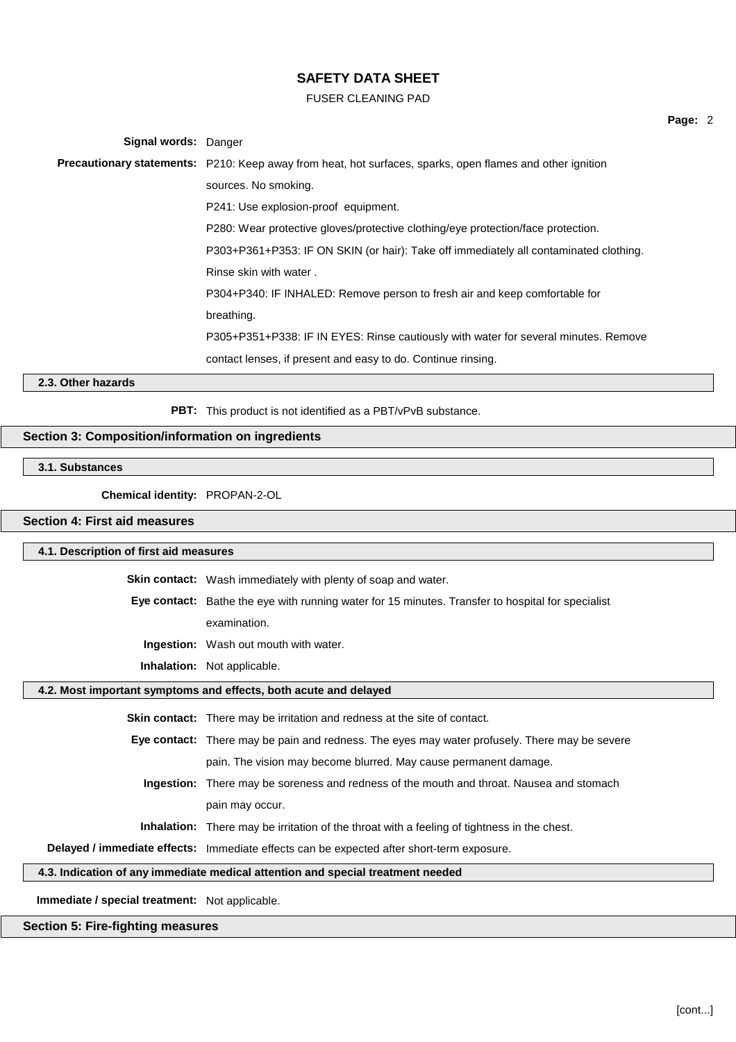FUSER CLEANING PAD

| Signal words: Danger |                                                                                                                  |  |  |  |
|----------------------|------------------------------------------------------------------------------------------------------------------|--|--|--|
|                      | <b>Precautionary statements:</b> P210: Keep away from heat, hot surfaces, sparks, open flames and other ignition |  |  |  |
|                      | sources. No smoking.                                                                                             |  |  |  |
|                      | P241: Use explosion-proof equipment.                                                                             |  |  |  |
|                      | P280: Wear protective gloves/protective clothing/eye protection/face protection.                                 |  |  |  |
|                      | P303+P361+P353: IF ON SKIN (or hair): Take off immediately all contaminated clothing.                            |  |  |  |
|                      | Rinse skin with water.                                                                                           |  |  |  |
|                      | P304+P340: IF INHALED: Remove person to fresh air and keep comfortable for                                       |  |  |  |
|                      | breathing.                                                                                                       |  |  |  |
|                      | P305+P351+P338: IF IN EYES: Rinse cautiously with water for several minutes. Remove                              |  |  |  |
|                      | contact lenses, if present and easy to do. Continue rinsing.                                                     |  |  |  |
| 2.3. Other hazards   |                                                                                                                  |  |  |  |

**PBT:** This product is not identified as a PBT/vPvB substance.

## **Section 3: Composition/information on ingredients**

# **3.1. Substances**

**Chemical identity:** PROPAN-2-OL

# **Section 4: First aid measures**

#### **4.1. Description of first aid measures**

**Skin contact:** Wash immediately with plenty of soap and water.

**Eye contact:** Bathe the eye with running water for 15 minutes. Transfer to hospital for specialist

examination.

**Ingestion:** Wash out mouth with water.

**Inhalation:** Not applicable.

### **4.2. Most important symptoms and effects, both acute and delayed**

**Skin contact:** There may be irritation and redness at the site of contact.

**Eye contact:** There may be pain and redness. The eyes may water profusely. There may be severe pain. The vision may become blurred. May cause permanent damage.

**Ingestion:** There may be soreness and redness of the mouth and throat. Nausea and stomach pain may occur.

**Inhalation:** There may be irritation of the throat with a feeling of tightness in the chest.

**Delayed / immediate effects:** Immediate effects can be expected after short-term exposure.

## **4.3. Indication of any immediate medical attention and special treatment needed**

**Immediate / special treatment:** Not applicable.

## **Section 5: Fire-fighting measures**

**Page:** 2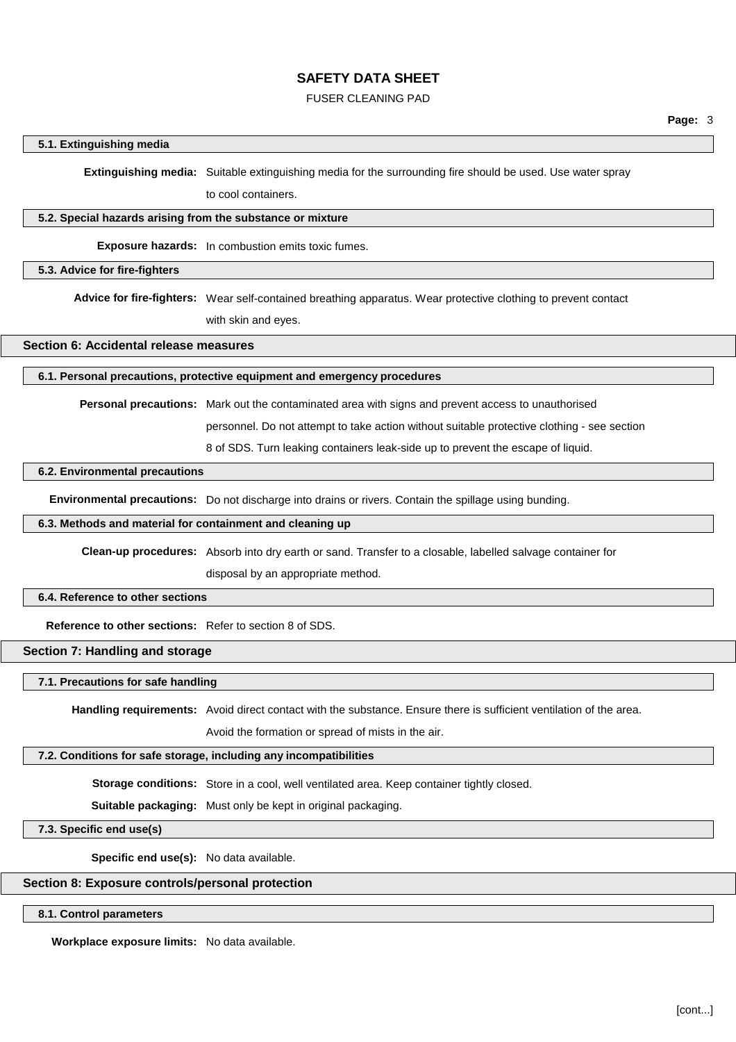### FUSER CLEANING PAD

### **5.1. Extinguishing media**

**Extinguishing media:** Suitable extinguishing media for the surrounding fire should be used. Use water spray

to cool containers.

#### **5.2. Special hazards arising from the substance or mixture**

**Exposure hazards:** In combustion emits toxic fumes.

#### **5.3. Advice for fire-fighters**

**Advice for fire-fighters:** Wear self-contained breathing apparatus. Wear protective clothing to prevent contact with skin and eyes.

## **Section 6: Accidental release measures**

### **6.1. Personal precautions, protective equipment and emergency procedures**

**Personal precautions:** Mark out the contaminated area with signs and prevent access to unauthorised

personnel. Do not attempt to take action without suitable protective clothing - see section

8 of SDS. Turn leaking containers leak-side up to prevent the escape of liquid.

### **6.2. Environmental precautions**

**Environmental precautions:** Do not discharge into drains or rivers. Contain the spillage using bunding.

#### **6.3. Methods and material for containment and cleaning up**

**Clean-up procedures:** Absorb into dry earth or sand. Transfer to a closable, labelled salvage container for

disposal by an appropriate method.

#### **6.4. Reference to other sections**

**Reference to other sections:** Refer to section 8 of SDS.

## **Section 7: Handling and storage**

### **7.1. Precautions for safe handling**

**Handling requirements:** Avoid direct contact with the substance. Ensure there is sufficient ventilation of the area.

Avoid the formation or spread of mists in the air.

## **7.2. Conditions for safe storage, including any incompatibilities**

**Storage conditions:** Store in a cool, well ventilated area. Keep container tightly closed.

**Suitable packaging:** Must only be kept in original packaging.

**7.3. Specific end use(s)**

**Specific end use(s):** No data available.

## **Section 8: Exposure controls/personal protection**

# **8.1. Control parameters**

**Workplace exposure limits:** No data available.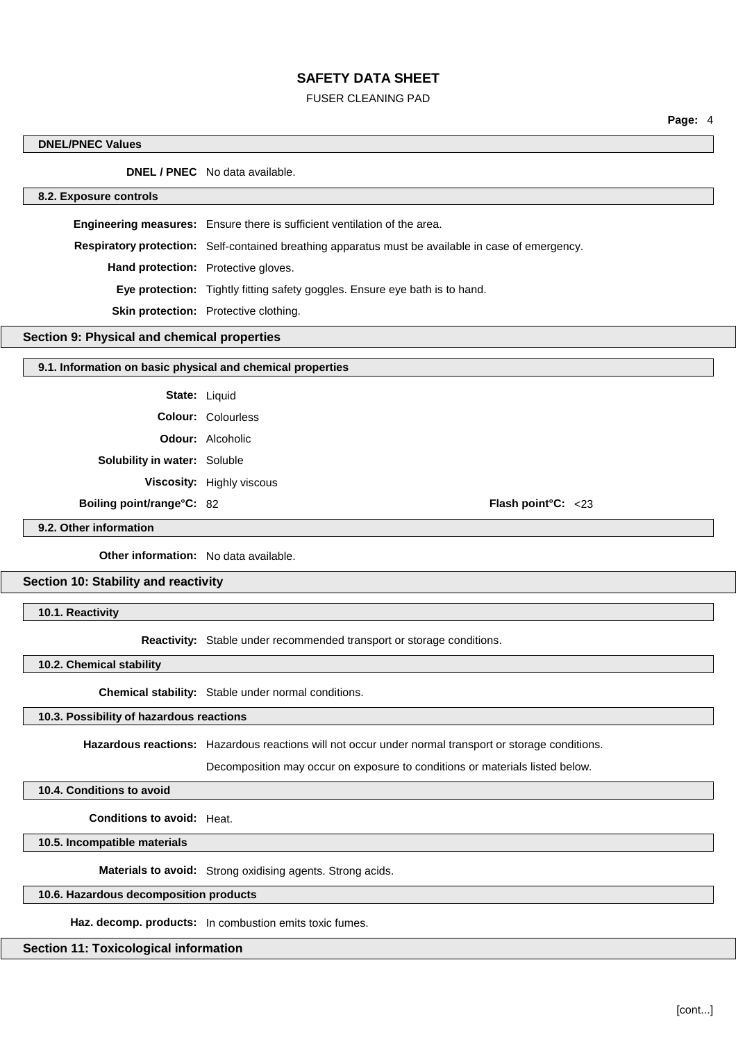# FUSER CLEANING PAD

**Page:** 4

| <b>DNEL/PNEC Values</b>                                    |                                                                                                       |  |  |  |
|------------------------------------------------------------|-------------------------------------------------------------------------------------------------------|--|--|--|
|                                                            | <b>DNEL / PNEC</b> No data available.                                                                 |  |  |  |
| 8.2. Exposure controls                                     |                                                                                                       |  |  |  |
|                                                            | <b>Engineering measures:</b> Ensure there is sufficient ventilation of the area.                      |  |  |  |
|                                                            | Respiratory protection: Self-contained breathing apparatus must be available in case of emergency.    |  |  |  |
|                                                            | Hand protection: Protective gloves.                                                                   |  |  |  |
|                                                            | Eye protection: Tightly fitting safety goggles. Ensure eye bath is to hand.                           |  |  |  |
|                                                            | Skin protection: Protective clothing.                                                                 |  |  |  |
| Section 9: Physical and chemical properties                |                                                                                                       |  |  |  |
| 9.1. Information on basic physical and chemical properties |                                                                                                       |  |  |  |
|                                                            |                                                                                                       |  |  |  |
|                                                            | State: Liquid                                                                                         |  |  |  |
|                                                            | <b>Colour: Colourless</b>                                                                             |  |  |  |
|                                                            | <b>Odour:</b> Alcoholic                                                                               |  |  |  |
| Solubility in water: Soluble                               |                                                                                                       |  |  |  |
|                                                            | Viscosity: Highly viscous                                                                             |  |  |  |
| Boiling point/range°C: 82                                  | Flash point°C: <23                                                                                    |  |  |  |
| 9.2. Other information                                     |                                                                                                       |  |  |  |
| <b>Other information:</b> No data available.               |                                                                                                       |  |  |  |
| Section 10: Stability and reactivity                       |                                                                                                       |  |  |  |
| 10.1. Reactivity                                           |                                                                                                       |  |  |  |
|                                                            | Reactivity: Stable under recommended transport or storage conditions.                                 |  |  |  |
| 10.2. Chemical stability                                   |                                                                                                       |  |  |  |
|                                                            |                                                                                                       |  |  |  |
|                                                            | Chemical stability: Stable under normal conditions.                                                   |  |  |  |
| 10.3. Possibility of hazardous reactions                   |                                                                                                       |  |  |  |
|                                                            | Hazardous reactions: Hazardous reactions will not occur under normal transport or storage conditions. |  |  |  |
|                                                            | Decomposition may occur on exposure to conditions or materials listed below.                          |  |  |  |

**10.4. Conditions to avoid**

**Conditions to avoid:** Heat.

**10.5. Incompatible materials**

**Materials to avoid:** Strong oxidising agents. Strong acids.

# **10.6. Hazardous decomposition products**

**Haz. decomp. products:** In combustion emits toxic fumes.

# **Section 11: Toxicological information**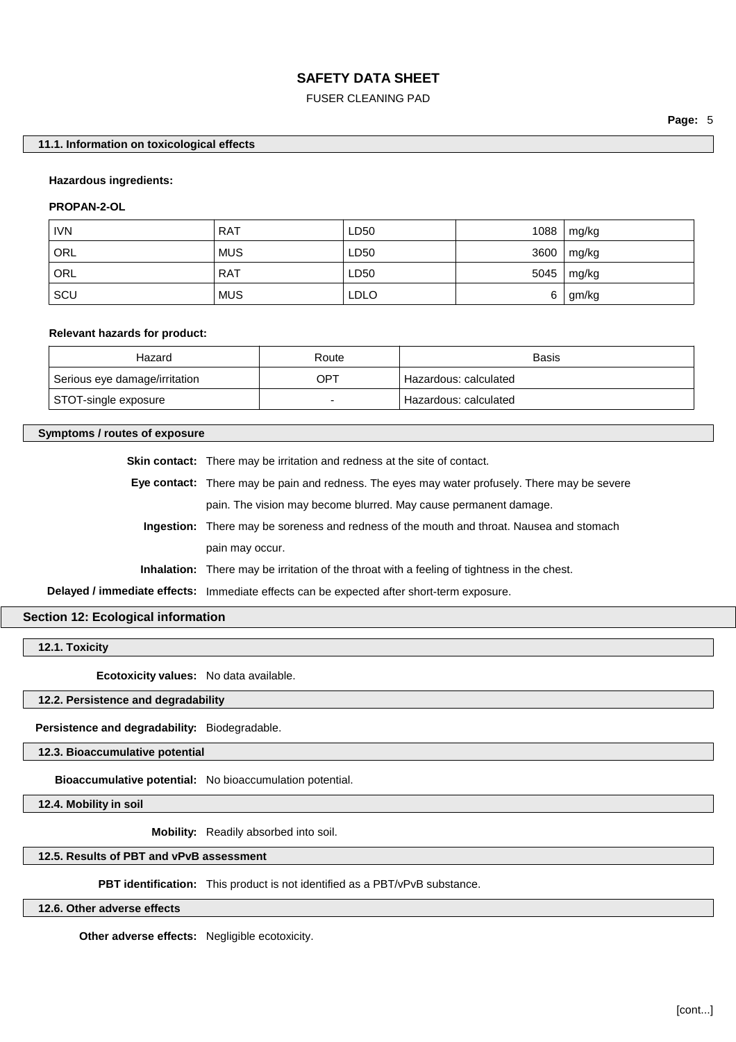### FUSER CLEANING PAD

### **11.1. Information on toxicological effects**

#### **Hazardous ingredients:**

### **PROPAN-2-OL**

| <b>IVN</b> | <b>RAT</b> | LD50        | 1088 | mg/kg |
|------------|------------|-------------|------|-------|
| ORL        | <b>MUS</b> | LD50        | 3600 | mg/kg |
| ORL        | <b>RAT</b> | LD50        | 5045 | mg/kg |
| SCU        | <b>MUS</b> | <b>LDLO</b> | 6    | gm/kg |

## **Relevant hazards for product:**

| Hazard                        | Route | <b>Basis</b>            |
|-------------------------------|-------|-------------------------|
| Serious eye damage/irritation | OPT   | Hazardous: calculated   |
| STOT-single exposure          |       | ' Hazardous: calculated |

#### **Symptoms / routes of exposure**

**Skin contact:** There may be irritation and redness at the site of contact.

**Eye contact:** There may be pain and redness. The eyes may water profusely. There may be severe pain. The vision may become blurred. May cause permanent damage.

**Ingestion:** There may be soreness and redness of the mouth and throat. Nausea and stomach pain may occur.

**Inhalation:** There may be irritation of the throat with a feeling of tightness in the chest.

**Delayed / immediate effects:** Immediate effects can be expected after short-term exposure.

### **Section 12: Ecological information**

**12.1. Toxicity**

**Ecotoxicity values:** No data available.

### **12.2. Persistence and degradability**

**Persistence and degradability:** Biodegradable.

**12.3. Bioaccumulative potential**

**Bioaccumulative potential:** No bioaccumulation potential.

**12.4. Mobility in soil**

**Mobility:** Readily absorbed into soil.

## **12.5. Results of PBT and vPvB assessment**

**PBT identification:** This product is not identified as a PBT/vPvB substance.

**12.6. Other adverse effects**

**Other adverse effects:** Negligible ecotoxicity.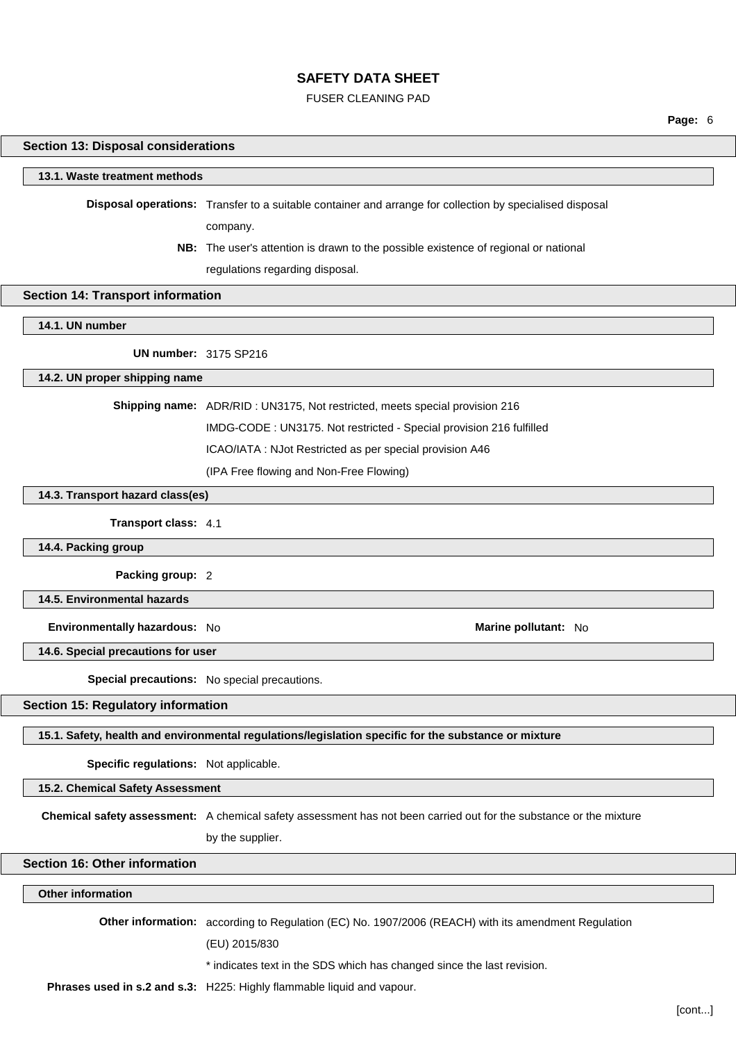### FUSER CLEANING PAD

**Page:** 6

## **Section 13: Disposal considerations**

#### **13.1. Waste treatment methods**

**Disposal operations:** Transfer to a suitable container and arrange for collection by specialised disposal

company.

**NB:** The user's attention is drawn to the possible existence of regional or national regulations regarding disposal.

### **Section 14: Transport information**

**14.1. UN number**

**UN number:** 3175 SP216

### **14.2. UN proper shipping name**

**Shipping name:** ADR/RID : UN3175, Not restricted, meets special provision 216

IMDG-CODE : UN3175. Not restricted - Special provision 216 fulfilled

ICAO/IATA : NJot Restricted as per special provision A46

(IPA Free flowing and Non-Free Flowing)

## **14.3. Transport hazard class(es)**

**Transport class:** 4.1

**14.4. Packing group**

**Packing group:** 2

**14.5. Environmental hazards**

**Environmentally hazardous:** No **Marine pollutant:** No

**14.6. Special precautions for user**

**Special precautions:** No special precautions.

## **Section 15: Regulatory information**

**15.1. Safety, health and environmental regulations/legislation specific for the substance or mixture**

**Specific regulations:** Not applicable.

**15.2. Chemical Safety Assessment**

**Chemical safety assessment:** A chemical safety assessment has not been carried out for the substance or the mixture

by the supplier.

## **Section 16: Other information**

## **Other information**

**Other information:** according to Regulation (EC) No. 1907/2006 (REACH) with its amendment Regulation

(EU) 2015/830

\* indicates text in the SDS which has changed since the last revision.

**Phrases used in s.2 and s.3:** H225: Highly flammable liquid and vapour.